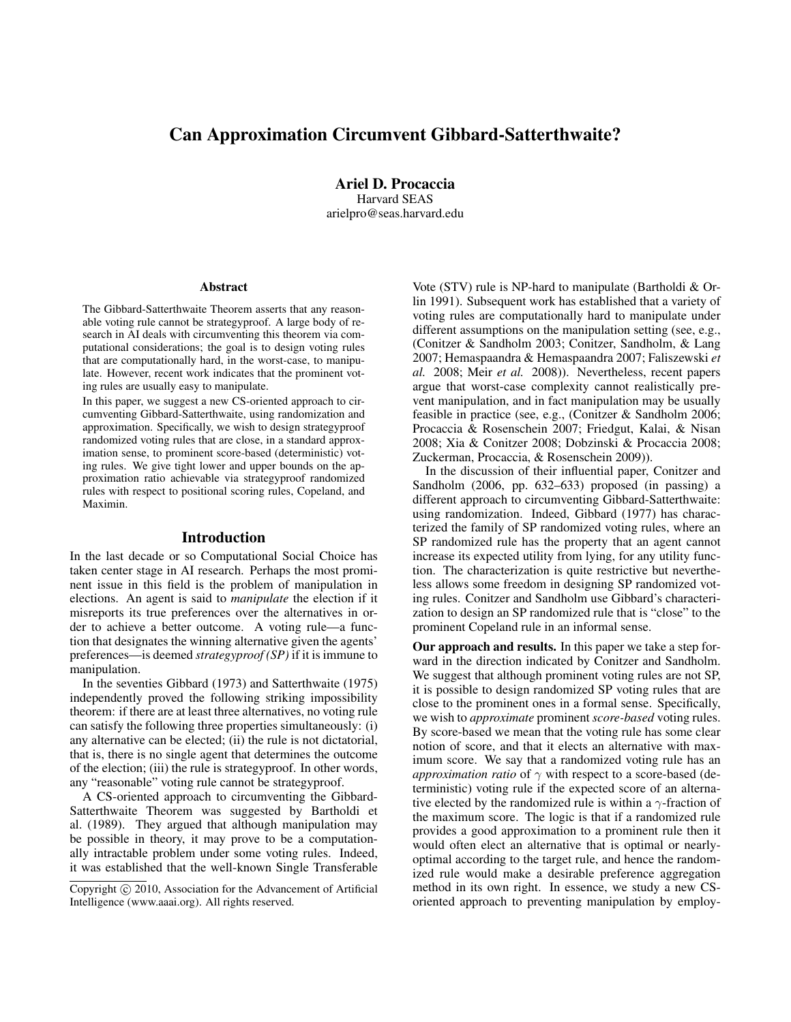# Can Approximation Circumvent Gibbard-Satterthwaite?

Ariel D. Procaccia Harvard SEAS arielpro@seas.harvard.edu

#### Abstract

The Gibbard-Satterthwaite Theorem asserts that any reasonable voting rule cannot be strategyproof. A large body of research in AI deals with circumventing this theorem via computational considerations; the goal is to design voting rules that are computationally hard, in the worst-case, to manipulate. However, recent work indicates that the prominent voting rules are usually easy to manipulate.

In this paper, we suggest a new CS-oriented approach to circumventing Gibbard-Satterthwaite, using randomization and approximation. Specifically, we wish to design strategyproof randomized voting rules that are close, in a standard approximation sense, to prominent score-based (deterministic) voting rules. We give tight lower and upper bounds on the approximation ratio achievable via strategyproof randomized rules with respect to positional scoring rules, Copeland, and Maximin.

#### Introduction

In the last decade or so Computational Social Choice has taken center stage in AI research. Perhaps the most prominent issue in this field is the problem of manipulation in elections. An agent is said to *manipulate* the election if it misreports its true preferences over the alternatives in order to achieve a better outcome. A voting rule—a function that designates the winning alternative given the agents' preferences—is deemed *strategyproof (SP)* if it is immune to manipulation.

In the seventies Gibbard (1973) and Satterthwaite (1975) independently proved the following striking impossibility theorem: if there are at least three alternatives, no voting rule can satisfy the following three properties simultaneously: (i) any alternative can be elected; (ii) the rule is not dictatorial, that is, there is no single agent that determines the outcome of the election; (iii) the rule is strategyproof. In other words, any "reasonable" voting rule cannot be strategyproof.

A CS-oriented approach to circumventing the Gibbard-Satterthwaite Theorem was suggested by Bartholdi et al. (1989). They argued that although manipulation may be possible in theory, it may prove to be a computationally intractable problem under some voting rules. Indeed, it was established that the well-known Single Transferable

Vote (STV) rule is NP-hard to manipulate (Bartholdi & Orlin 1991). Subsequent work has established that a variety of voting rules are computationally hard to manipulate under different assumptions on the manipulation setting (see, e.g., (Conitzer & Sandholm 2003; Conitzer, Sandholm, & Lang 2007; Hemaspaandra & Hemaspaandra 2007; Faliszewski *et al.* 2008; Meir *et al.* 2008)). Nevertheless, recent papers argue that worst-case complexity cannot realistically prevent manipulation, and in fact manipulation may be usually feasible in practice (see, e.g., (Conitzer & Sandholm 2006; Procaccia & Rosenschein 2007; Friedgut, Kalai, & Nisan 2008; Xia & Conitzer 2008; Dobzinski & Procaccia 2008; Zuckerman, Procaccia, & Rosenschein 2009)).

In the discussion of their influential paper, Conitzer and Sandholm (2006, pp. 632–633) proposed (in passing) a different approach to circumventing Gibbard-Satterthwaite: using randomization. Indeed, Gibbard (1977) has characterized the family of SP randomized voting rules, where an SP randomized rule has the property that an agent cannot increase its expected utility from lying, for any utility function. The characterization is quite restrictive but nevertheless allows some freedom in designing SP randomized voting rules. Conitzer and Sandholm use Gibbard's characterization to design an SP randomized rule that is "close" to the prominent Copeland rule in an informal sense.

Our approach and results. In this paper we take a step forward in the direction indicated by Conitzer and Sandholm. We suggest that although prominent voting rules are not SP, it is possible to design randomized SP voting rules that are close to the prominent ones in a formal sense. Specifically, we wish to *approximate* prominent *score-based* voting rules. By score-based we mean that the voting rule has some clear notion of score, and that it elects an alternative with maximum score. We say that a randomized voting rule has an *approximation ratio* of  $\gamma$  with respect to a score-based (deterministic) voting rule if the expected score of an alternative elected by the randomized rule is within a  $\gamma$ -fraction of the maximum score. The logic is that if a randomized rule provides a good approximation to a prominent rule then it would often elect an alternative that is optimal or nearlyoptimal according to the target rule, and hence the randomized rule would make a desirable preference aggregation method in its own right. In essence, we study a new CSoriented approach to preventing manipulation by employ-

Copyright (c) 2010, Association for the Advancement of Artificial Intelligence (www.aaai.org). All rights reserved.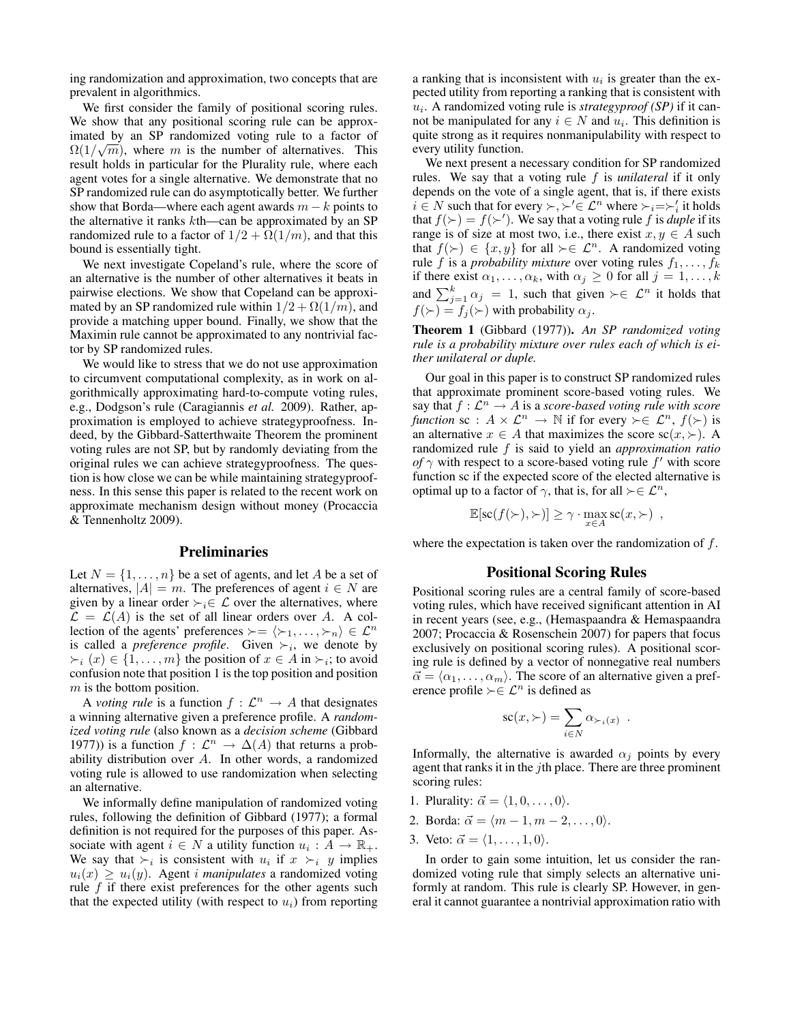ing randomization and approximation, two concepts that are prevalent in algorithmics.

We first consider the family of positional scoring rules. We show that any positional scoring rule can be approximated by an SP randomized voting rule to a factor of  $\Omega(1/\sqrt{m})$ , where m is the number of alternatives. This result holds in particular for the Plurality rule, where each agent votes for a single alternative. We demonstrate that no SP randomized rule can do asymptotically better. We further show that Borda—where each agent awards  $m - k$  points to the alternative it ranks kth—can be approximated by an SP randomized rule to a factor of  $1/2 + \Omega(1/m)$ , and that this bound is essentially tight.

We next investigate Copeland's rule, where the score of an alternative is the number of other alternatives it beats in pairwise elections. We show that Copeland can be approximated by an SP randomized rule within  $1/2 + \Omega(1/m)$ , and provide a matching upper bound. Finally, we show that the Maximin rule cannot be approximated to any nontrivial factor by SP randomized rules.

We would like to stress that we do not use approximation to circumvent computational complexity, as in work on algorithmically approximating hard-to-compute voting rules, e.g., Dodgson's rule (Caragiannis *et al.* 2009). Rather, approximation is employed to achieve strategyproofness. Indeed, by the Gibbard-Satterthwaite Theorem the prominent voting rules are not SP, but by randomly deviating from the original rules we can achieve strategyproofness. The question is how close we can be while maintaining strategyproofness. In this sense this paper is related to the recent work on approximate mechanism design without money (Procaccia & Tennenholtz 2009).

#### Preliminaries

Let  $N = \{1, \ldots, n\}$  be a set of agents, and let A be a set of alternatives,  $|A| = m$ . The preferences of agent  $i \in N$  are given by a linear order  $\succ_i \in \mathcal{L}$  over the alternatives, where  $\mathcal{L} = \mathcal{L}(A)$  is the set of all linear orders over A. A collection of the agents' preferences  $\succ = \langle \succ_1, \ldots, \succ_n \rangle \in \mathcal{L}^n$ is called a *preference profile*. Given  $\succ_i$ , we denote by  $\succ_i$   $(x) \in \{1, \ldots, m\}$  the position of  $x \in A$  in  $\succ_i$ ; to avoid confusion note that position 1 is the top position and position  $m$  is the bottom position.

A *voting rule* is a function  $f: \mathcal{L}^n \to A$  that designates a winning alternative given a preference profile. A *randomized voting rule* (also known as a *decision scheme* (Gibbard 1977)) is a function  $f: \mathcal{L}^n \to \Delta(A)$  that returns a probability distribution over A. In other words, a randomized voting rule is allowed to use randomization when selecting an alternative.

We informally define manipulation of randomized voting rules, following the definition of Gibbard (1977); a formal definition is not required for the purposes of this paper. Associate with agent  $i \in N$  a utility function  $u_i : A \to \mathbb{R}_+$ . We say that  $\succ_i$  is consistent with  $u_i$  if  $x \succ_i y$  implies  $u_i(x) \geq u_i(y)$ . Agent *i manipulates* a randomized voting rule  $f$  if there exist preferences for the other agents such that the expected utility (with respect to  $u_i$ ) from reporting

a ranking that is inconsistent with  $u_i$  is greater than the expected utility from reporting a ranking that is consistent with  $u_i$ . A randomized voting rule is *strategyproof* (SP) if it cannot be manipulated for any  $i \in N$  and  $u_i$ . This definition is quite strong as it requires nonmanipulability with respect to every utility function.

We next present a necessary condition for SP randomized rules. We say that a voting rule f is *unilateral* if it only depends on the vote of a single agent, that is, if there exists  $i \in N$  such that for every  $\succ, \succ' \in \mathcal{L}^n$  where  $\succ_i = \succ'_i$  it holds that  $f(\succ) = f(\succ')$ . We say that a voting rule f is *duple* if its range is of size at most two, i.e., there exist  $x, y \in A$  such that  $f(\succ) \in \{x, y\}$  for all  $\succ \in \mathcal{L}^n$ . A randomized voting rule f is a *probability mixture* over voting rules  $f_1, \ldots, f_k$ if there exist  $\alpha_1, \ldots, \alpha_k$ , with  $\alpha_j \geq 0$  for all  $j = 1, \ldots, k$ and  $\sum_{j=1}^{k} \alpha_j = 1$ , such that given  $\succ \in \mathcal{L}^n$  it holds that  $f(\succ) = f_j(\succ)$  with probability  $\alpha_j$ .

Theorem 1 (Gibbard (1977)). *An SP randomized voting rule is a probability mixture over rules each of which is either unilateral or duple.*

Our goal in this paper is to construct SP randomized rules that approximate prominent score-based voting rules. We say that  $f: \mathcal{L}^n \to A$  is a *score-based voting rule with score function* sc :  $A \times \mathcal{L}^n \to \mathbb{N}$  if for every  $\succ \in \mathcal{L}^n$ ,  $f(\succ)$  is an alternative  $x \in A$  that maximizes the score  $\text{sc}(x, \succ)$ . A randomized rule f is said to yield an *approximation ratio of*  $\gamma$  with respect to a score-based voting rule  $f'$  with score function sc if the expected score of the elected alternative is optimal up to a factor of  $\gamma$ , that is, for all  $\succ \in \mathcal{L}^n$ ,

$$
\mathbb{E}[\mathrm{sc}(f(\succ),\succ)] \geq \gamma \cdot \max_{x \in A} \mathrm{sc}(x,\succ) ,
$$

where the expectation is taken over the randomization of  $f$ .

#### Positional Scoring Rules

Positional scoring rules are a central family of score-based voting rules, which have received significant attention in AI in recent years (see, e.g., (Hemaspaandra & Hemaspaandra 2007; Procaccia & Rosenschein 2007) for papers that focus exclusively on positional scoring rules). A positional scoring rule is defined by a vector of nonnegative real numbers  $\vec{\alpha} = \langle \alpha_1, \ldots, \alpha_m \rangle$ . The score of an alternative given a preference profile ≻ $\in \mathcal{L}^n$  is defined as

$$
sc(x, \succ) = \sum_{i \in N} \alpha_{\succ_i(x)}.
$$

Informally, the alternative is awarded  $\alpha_i$  points by every agent that ranks it in the jth place. There are three prominent scoring rules:

- 1. Plurality:  $\vec{\alpha} = \langle 1, 0, \ldots, 0 \rangle$ .
- 2. Borda:  $\vec{\alpha} = \langle m-1, m-2, \ldots, 0 \rangle$ .
- 3. Veto:  $\vec{\alpha} = \langle 1, \ldots, 1, 0 \rangle$ .

In order to gain some intuition, let us consider the randomized voting rule that simply selects an alternative uniformly at random. This rule is clearly SP. However, in general it cannot guarantee a nontrivial approximation ratio with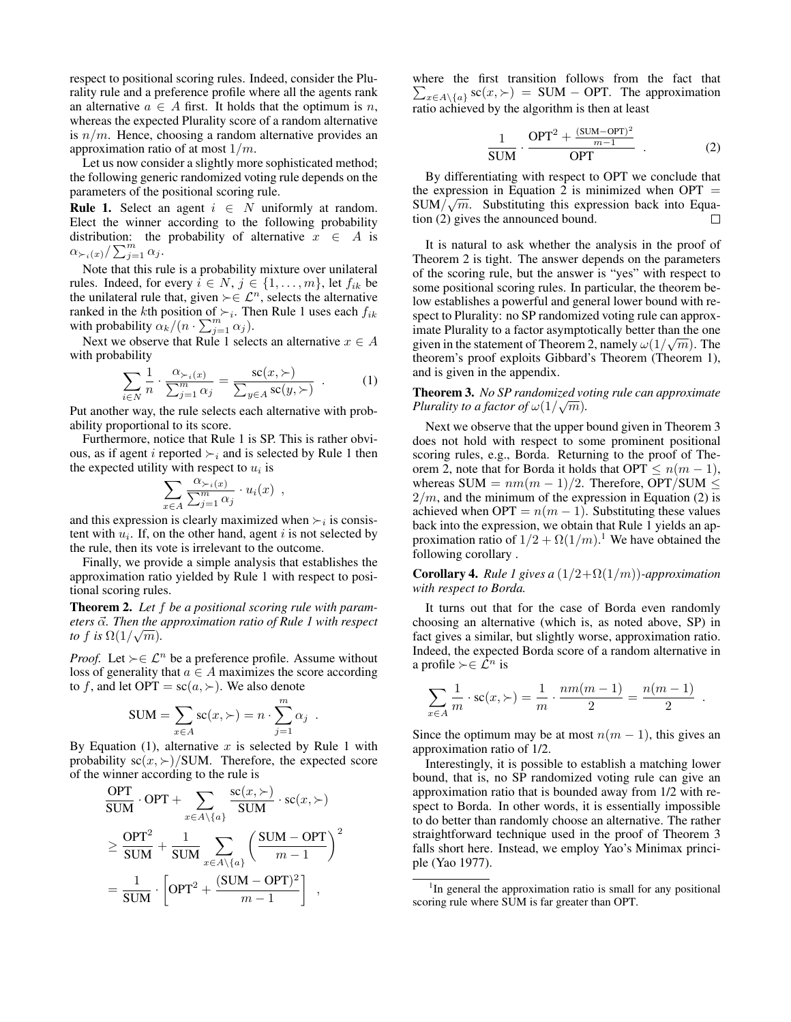respect to positional scoring rules. Indeed, consider the Plurality rule and a preference profile where all the agents rank an alternative  $a \in A$  first. It holds that the optimum is n, whereas the expected Plurality score of a random alternative is  $n/m$ . Hence, choosing a random alternative provides an approximation ratio of at most  $1/m$ .

Let us now consider a slightly more sophisticated method; the following generic randomized voting rule depends on the parameters of the positional scoring rule.

**Rule 1.** Select an agent  $i \in N$  uniformly at random. Elect the winner according to the following probability distribution: the probability of alternative  $x \in A$  is  $\alpha_{\succ_i(x)}/\sum_{j=1}^m \alpha_j$ .

Note that this rule is a probability mixture over unilateral rules. Indeed, for every  $i \in N$ ,  $j \in \{1, \ldots, m\}$ , let  $f_{ik}$  be the unilateral rule that, given  $\succ \in \mathcal{L}^n$ , selects the alternative ranked in the kth position of  $\succ_i$ . Then Rule 1 uses each  $f_{ik}$ with probability  $\alpha_k/(n \cdot \sum_{j=1}^m \alpha_j)$ .

Next we observe that Rule 1 selects an alternative  $x \in A$ with probability

$$
\sum_{i \in N} \frac{1}{n} \cdot \frac{\alpha_{\succ_i(x)}}{\sum_{j=1}^m \alpha_j} = \frac{\text{sc}(x, \succ)}{\sum_{y \in A} \text{sc}(y, \succ)} \tag{1}
$$

Put another way, the rule selects each alternative with probability proportional to its score.

Furthermore, notice that Rule 1 is SP. This is rather obvious, as if agent i reported  $\succ_i$  and is selected by Rule 1 then the expected utility with respect to  $u_i$  is

$$
\sum_{x \in A} \frac{\alpha_{\succ_i(x)}}{\sum_{j=1}^m \alpha_j} \cdot u_i(x) ,
$$

and this expression is clearly maximized when  $\succ_i$  is consistent with  $u_i$ . If, on the other hand, agent i is not selected by the rule, then its vote is irrelevant to the outcome.

Finally, we provide a simple analysis that establishes the approximation ratio yielded by Rule 1 with respect to positional scoring rules.

Theorem 2. *Let* f *be a positional scoring rule with parameters*  $\vec{\alpha}$ . Then the approximation ratio of Rule 1 with respect *to* f is  $\Omega(1/\sqrt{m})$ *.* 

*Proof.* Let  $\succ \in \mathcal{L}^n$  be a preference profile. Assume without loss of generality that  $a \in A$  maximizes the score according to f, and let OPT =  $\text{sc}(a, \succ)$ . We also denote

$$
SUM = \sum_{x \in A} sc(x, \succ) = n \cdot \sum_{j=1}^{m} \alpha_j.
$$

By Equation (1), alternative  $x$  is selected by Rule 1 with probability  $\operatorname{sc}(x, \succ)/\text{SUM}$ . Therefore, the expected score of the winner according to the rule is

$$
\frac{\text{OPT}}{\text{SUM}} \cdot \text{OPT} + \sum_{x \in A \setminus \{a\}} \frac{\text{sc}(x, \succ)}{\text{SUM}} \cdot \text{sc}(x, \succ)
$$
\n
$$
\geq \frac{\text{OPT}^2}{\text{SUM}} + \frac{1}{\text{SUM}} \sum_{x \in A \setminus \{a\}} \left(\frac{\text{SUM} - \text{OPT}}{m - 1}\right)^2
$$
\n
$$
= \frac{1}{\text{SUM}} \cdot \left[\text{OPT}^2 + \frac{(\text{SUM} - \text{OPT})^2}{m - 1}\right] ,
$$

where the first transition follows from the fact that  $\sum_{x \in A \setminus \{a\}} s c(x, \succ) = \text{SUM} - \text{OPT}$ . The approximation ratio achieved by the algorithm is then at least

$$
\frac{1}{SUM} \cdot \frac{OPT^2 + \frac{(SUM - OPT)^2}{m - 1}}{OPT}
$$
 (2)

By differentiating with respect to OPT we conclude that the expression in Equation 2 is minimized when  $OPT =$  $\text{SUM}/\sqrt{m}$ . Substituting this expression back into Equation (2) gives the announced bound.  $\Box$ 

It is natural to ask whether the analysis in the proof of Theorem 2 is tight. The answer depends on the parameters of the scoring rule, but the answer is "yes" with respect to some positional scoring rules. In particular, the theorem below establishes a powerful and general lower bound with respect to Plurality: no SP randomized voting rule can approximate Plurality to a factor asymptotically better than the one given in the statement of Theorem 2, namely  $\omega(1/\sqrt{m})$ . The theorem's proof exploits Gibbard's Theorem (Theorem 1), and is given in the appendix.

#### Theorem 3. *No SP randomized voting rule can approximate* √ *Plurality to a factor of*  $\omega(1/\sqrt{m})$ *.*

Next we observe that the upper bound given in Theorem 3 does not hold with respect to some prominent positional scoring rules, e.g., Borda. Returning to the proof of Theorem 2, note that for Borda it holds that OPT  $\leq n(m-1)$ , whereas SUM =  $nm(m - 1)/2$ . Therefore, OPT/SUM  $\leq$  $2/m$ , and the minimum of the expression in Equation (2) is achieved when OPT =  $n(m - 1)$ . Substituting these values back into the expression, we obtain that Rule 1 yields an approximation ratio of  $1/2 + \Omega(1/m)$ .<sup>1</sup> We have obtained the following corollary .

Corollary 4. *Rule 1 gives a* (1/2+Ω(1/m))*-approximation with respect to Borda.*

It turns out that for the case of Borda even randomly choosing an alternative (which is, as noted above, SP) in fact gives a similar, but slightly worse, approximation ratio. Indeed, the expected Borda score of a random alternative in a profile  $\succ \in \mathcal{L}^n$  is

$$
\sum_{x \in A} \frac{1}{m} \cdot \text{sc}(x, \succ) = \frac{1}{m} \cdot \frac{nm(m-1)}{2} = \frac{n(m-1)}{2} .
$$

Since the optimum may be at most  $n(m - 1)$ , this gives an approximation ratio of 1/2.

Interestingly, it is possible to establish a matching lower bound, that is, no SP randomized voting rule can give an approximation ratio that is bounded away from 1/2 with respect to Borda. In other words, it is essentially impossible to do better than randomly choose an alternative. The rather straightforward technique used in the proof of Theorem 3 falls short here. Instead, we employ Yao's Minimax principle (Yao 1977).

<sup>&</sup>lt;sup>1</sup>In general the approximation ratio is small for any positional scoring rule where SUM is far greater than OPT.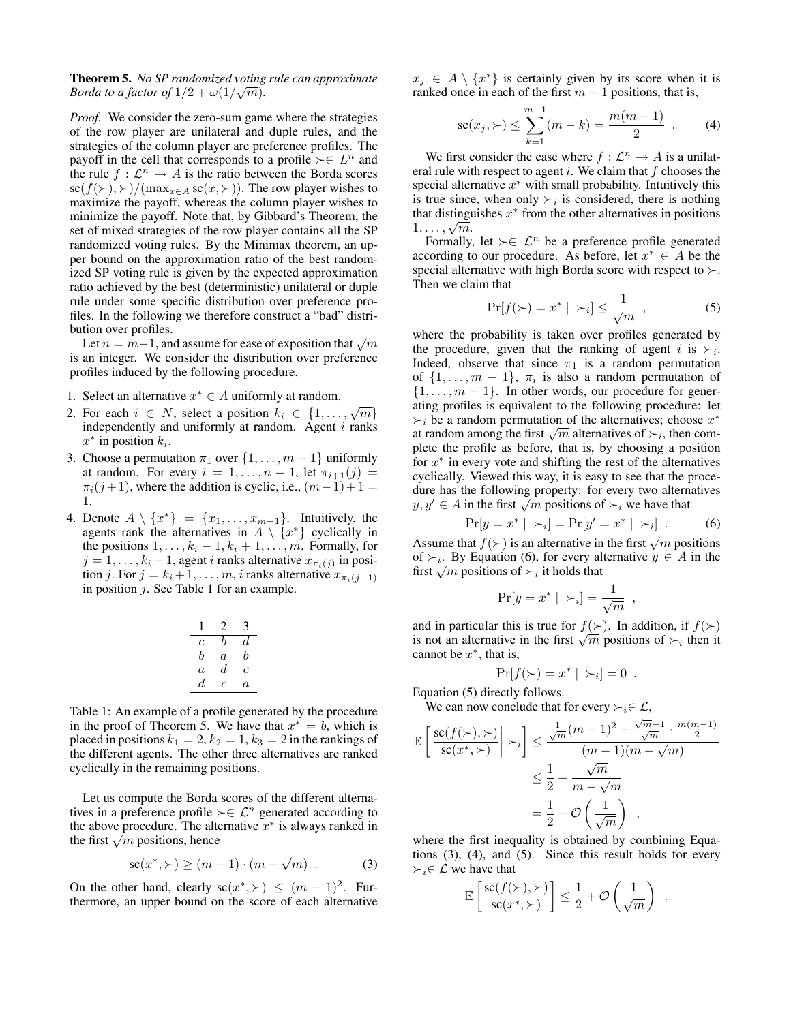Theorem 5. *No SP randomized voting rule can approximate* √ *Borda to a factor of*  $1/2 + \omega(1/\sqrt{m})$ *.* 

*Proof.* We consider the zero-sum game where the strategies of the row player are unilateral and duple rules, and the strategies of the column player are preference profiles. The payoff in the cell that corresponds to a profile  $\succ \in L^n$  and the rule  $f: \mathcal{L}^n \to A$  is the ratio between the Borda scores  $\operatorname{sc}(f(\succ), \succ) / (\max_{x \in A} \operatorname{sc}(x, \succ))$ . The row player wishes to maximize the payoff, whereas the column player wishes to minimize the payoff. Note that, by Gibbard's Theorem, the set of mixed strategies of the row player contains all the SP randomized voting rules. By the Minimax theorem, an upper bound on the approximation ratio of the best randomized SP voting rule is given by the expected approximation ratio achieved by the best (deterministic) unilateral or duple rule under some specific distribution over preference profiles. In the following we therefore construct a "bad" distribution over profiles.

uon over promes.<br>Let  $n = m-1$ , and assume for ease of exposition that  $\sqrt{m}$ is an integer. We consider the distribution over preference profiles induced by the following procedure.

- 1. Select an alternative  $x^* \in A$  uniformly at random.
- 2. For each  $i \in N$ , select a position  $k_i \in \{1, ..., \sqrt{m}\}\$ independently and uniformly at random. Agent  $i$  ranks  $x^*$  in position  $k_i$ .
- 3. Choose a permutation  $\pi_1$  over  $\{1, \ldots, m-1\}$  uniformly at random. For every  $i = 1, \ldots, n - 1$ , let  $\pi_{i+1}(j) =$  $\pi_i(j+1)$ , where the addition is cyclic, i.e.,  $(m-1)+1=$ 1.
- 4. Denote  $A \setminus \{x^*\} = \{x_1, \ldots, x_{m-1}\}.$  Intuitively, the agents rank the alternatives in  $A \setminus \{x^*\}$  cyclically in the positions  $1, \ldots, k_i - 1, k_i + 1, \ldots, m$ . Formally, for  $j = 1, \ldots, k_i - 1$ , agent *i* ranks alternative  $x_{\pi_i(j)}$  in position j. For  $j = k_i + 1, \ldots, m$ , i ranks alternative  $x_{\pi_i(j-1)}$ in position  $j$ . See Table 1 for an example.

| с              | h  | đ. |
|----------------|----|----|
| b              | a  | b  |
| $\overline{a}$ | d. | c  |
| d.             | ſ. | a  |

Table 1: An example of a profile generated by the procedure in the proof of Theorem 5. We have that  $x^* = b$ , which is placed in positions  $k_1 = 2, k_2 = 1, k_3 = 2$  in the rankings of the different agents. The other three alternatives are ranked cyclically in the remaining positions.

Let us compute the Borda scores of the different alternatives in a preference profile  $\succ \in \mathcal{L}^n$  generated according to the above procedure. The alternative  $x^*$  is always ranked in the above procedure. The alternative the first  $\sqrt{m}$  positions, hence

$$
sc(x^*, \succ) \ge (m-1) \cdot (m - \sqrt{m}) \quad . \tag{3}
$$

On the other hand, clearly  $sc(x^*, \geq) \leq (m-1)^2$ . Furthermore, an upper bound on the score of each alternative

 $x_j \in A \setminus \{x^*\}$  is certainly given by its score when it is ranked once in each of the first  $m - 1$  positions, that is,

$$
sc(x_j, \ge) \le \sum_{k=1}^{m-1} (m-k) = \frac{m(m-1)}{2} . \tag{4}
$$

We first consider the case where  $f : \mathcal{L}^n \to A$  is a unilateral rule with respect to agent i. We claim that  $f$  chooses the special alternative  $x^*$  with small probability. Intuitively this is true since, when only  $\succ_i$  is considered, there is nothing that distinguishes  $x^*$  from the other alternatives in positions tnat distingt $1,\ldots,\sqrt{m}.$ 

Formally, let  $\succ \in \mathcal{L}^n$  be a preference profile generated according to our procedure. As before, let  $x^* \in A$  be the special alternative with high Borda score with respect to  $\succ$ . Then we claim that

$$
\Pr[f(\succ) = x^* \mid \succ_i] \le \frac{1}{\sqrt{m}} \quad , \tag{5}
$$

where the probability is taken over profiles generated by the procedure, given that the ranking of agent i is  $\succ_i$ . Indeed, observe that since  $\pi_1$  is a random permutation of  $\{1, \ldots, m-1\}$ ,  $\pi_i$  is also a random permutation of  $\{1, \ldots, m-1\}$ . In other words, our procedure for generating profiles is equivalent to the following procedure: let  $\succ_i$  be a random permutation of the alternatives; choose  $x^*$  $\succ_i$  be a random permutation of the alternatives; choose x at random among the first  $\sqrt{m}$  alternatives of  $\succ_i$ , then complete the profile as before, that is, by choosing a position for  $x^*$  in every vote and shifting the rest of the alternatives cyclically. Viewed this way, it is easy to see that the procedure has the following property: for every two alternatives dure has the following property: for every two altern<br> $y, y' \in A$  in the first  $\sqrt{m}$  positions of  $\succ_i$  we have that

$$
Pr[y = x^* | \succ_i] = Pr[y' = x^* | \succ_i].
$$
 (6)

Assume that  $f(\succ)$  is an alternative in the first  $\sqrt{m}$  positions of  $\succ_i$ . By Equation (6), for every alternative  $y \in A$  in the or  $\succ_i$ . By Equation (6), for every at first  $\sqrt{m}$  positions of  $\succ_i$  it holds that

$$
\Pr[y = x^* \mid \succ_i] = \frac{1}{\sqrt{m}} ,
$$

and in particular this is true for  $f(\succ)$ . In addition, if  $f(\succ)$ and in particular this is true for  $f(\succ)$ . In addition, if  $f(\succ)$  is not an alternative in the first  $\sqrt{m}$  positions of  $\succ_i$  then it cannot be  $x^*$ , that is,

$$
Pr[f(\succ)=x^* \mid \succ_i]=0.
$$

Equation (5) directly follows.

We can now conclude that for every  $\succ_i \in \mathcal{L}$ ,

$$
\mathbb{E}\left[\frac{\text{sc}(f(\succ),\succ)}{\text{sc}(x^*,\succ)}\middle| \succ_i\right] \le \frac{\frac{1}{\sqrt{m}}(m-1)^2 + \frac{\sqrt{m}-1}{\sqrt{m}} \cdot \frac{m(m-1)}{2}}{(m-1)(m-\sqrt{m})}
$$

$$
\le \frac{1}{2} + \frac{\sqrt{m}}{m-\sqrt{m}}
$$

$$
= \frac{1}{2} + \mathcal{O}\left(\frac{1}{\sqrt{m}}\right) ,
$$

where the first inequality is obtained by combining Equations (3), (4), and (5). Since this result holds for every  $\succ_i \in \mathcal{L}$  we have that

$$
\mathbb{E}\left[\frac{\text{sc}(f(\succ),\succ)}{\text{sc}(x^*,\succ)}\right] \leq \frac{1}{2} + \mathcal{O}\left(\frac{1}{\sqrt{m}}\right) .
$$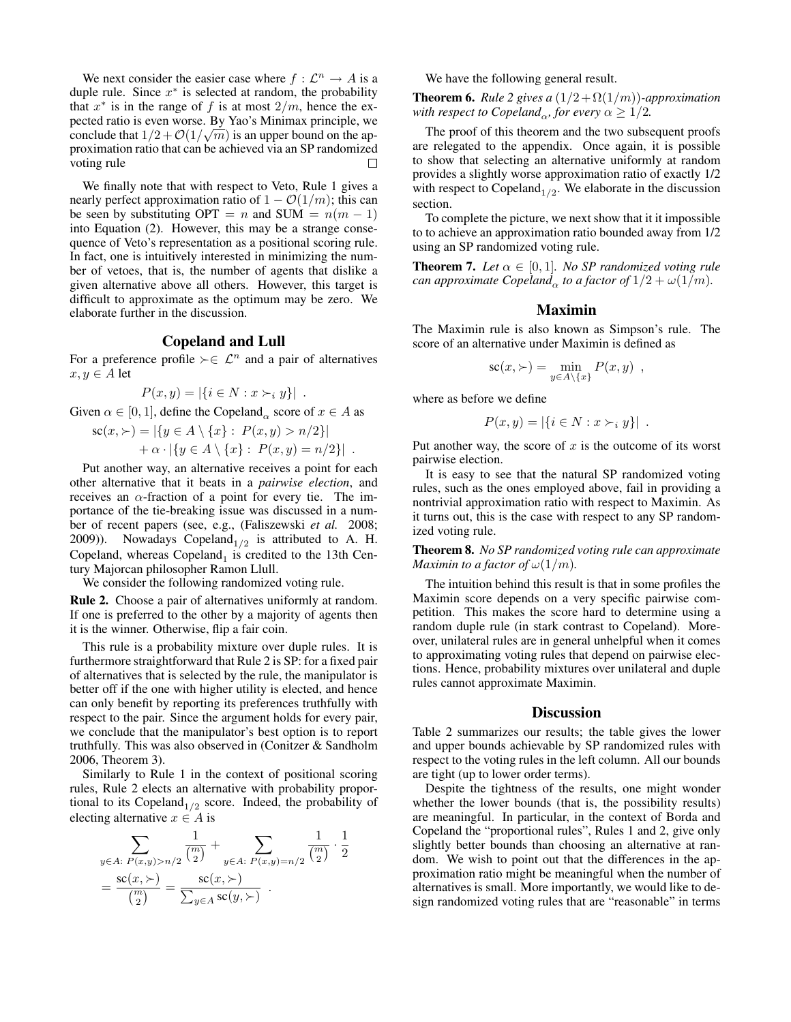We next consider the easier case where  $f: \mathcal{L}^n \to A$  is a duple rule. Since  $x^*$  is selected at random, the probability that  $x^*$  is in the range of f is at most  $2/m$ , hence the expected ratio is even worse. By Yao's Minimax principle, we conclude that  $1/2 + \mathcal{O}(1/\sqrt{m})$  is an upper bound on the approximation ratio that can be achieved via an SP randomized voting rule

We finally note that with respect to Veto, Rule 1 gives a nearly perfect approximation ratio of  $1 - \mathcal{O}(1/m)$ ; this can be seen by substituting OPT = n and SUM =  $n(m - 1)$ into Equation (2). However, this may be a strange consequence of Veto's representation as a positional scoring rule. In fact, one is intuitively interested in minimizing the number of vetoes, that is, the number of agents that dislike a given alternative above all others. However, this target is difficult to approximate as the optimum may be zero. We elaborate further in the discussion.

#### Copeland and Lull

For a preference profile  $\succ \in \mathcal{L}^n$  and a pair of alternatives  $x, y \in A$  let

$$
P(x, y) = |\{i \in N : x \succ_i y\}|.
$$

Given  $\alpha \in [0, 1]$ , define the Copeland<sub> $\alpha$ </sub> score of  $x \in A$  as

$$
sc(x, \ge) = |\{y \in A \setminus \{x\} : P(x, y) > n/2\}|
$$
  
+  $\alpha \cdot |\{y \in A \setminus \{x\} : P(x, y) = n/2\}|$ .

Put another way, an alternative receives a point for each other alternative that it beats in a *pairwise election*, and receives an  $\alpha$ -fraction of a point for every tie. The importance of the tie-breaking issue was discussed in a number of recent papers (see, e.g., (Faliszewski *et al.* 2008; 2009)). Nowadays Copeland $_{1/2}$  is attributed to A. H. Copeland, whereas  $\text{Copeland}_1$  is credited to the 13th Century Majorcan philosopher Ramon Llull.

We consider the following randomized voting rule.

Rule 2. Choose a pair of alternatives uniformly at random. If one is preferred to the other by a majority of agents then it is the winner. Otherwise, flip a fair coin.

This rule is a probability mixture over duple rules. It is furthermore straightforward that Rule 2 is SP: for a fixed pair of alternatives that is selected by the rule, the manipulator is better off if the one with higher utility is elected, and hence can only benefit by reporting its preferences truthfully with respect to the pair. Since the argument holds for every pair, we conclude that the manipulator's best option is to report truthfully. This was also observed in (Conitzer & Sandholm 2006, Theorem 3).

Similarly to Rule 1 in the context of positional scoring rules, Rule 2 elects an alternative with probability proportional to its Copeland<sub>1/2</sub> score. Indeed, the probability of electing alternative  $x \in A$  is

$$
\sum_{y \in A: P(x,y) > n/2} \frac{1}{\binom{m}{2}} + \sum_{y \in A: P(x,y) = n/2} \frac{1}{\binom{m}{2}} \cdot \frac{1}{2}
$$

$$
= \frac{\text{sc}(x, \succ)}{\binom{m}{2}} = \frac{\text{sc}(x, \succ)}{\sum_{y \in A} \text{sc}(y, \succ)}.
$$

We have the following general result.

**Theorem 6.** *Rule 2 gives a*  $(1/2 + \Omega(1/m))$ *-approximation with respect to Copeland<sub>α</sub>, for every*  $\alpha \geq 1/2$ *.* 

The proof of this theorem and the two subsequent proofs are relegated to the appendix. Once again, it is possible to show that selecting an alternative uniformly at random provides a slightly worse approximation ratio of exactly 1/2 with respect to Copeland<sub>1/2</sub>. We elaborate in the discussion section.

To complete the picture, we next show that it it impossible to to achieve an approximation ratio bounded away from 1/2 using an SP randomized voting rule.

**Theorem 7.** *Let*  $\alpha \in [0,1]$ *. No SP randomized voting rule can approximate Copeland*<sub> $\alpha$ </sub> *to a factor of*  $1/2 + \omega(1/m)$ *.* 

#### Maximin

The Maximin rule is also known as Simpson's rule. The score of an alternative under Maximin is defined as

$$
sc(x, \succ) = \min_{y \in A \setminus \{x\}} P(x, y) ,
$$

where as before we define

$$
P(x, y) = |\{i \in N : x \succ_i y\}|.
$$

Put another way, the score of  $x$  is the outcome of its worst pairwise election.

It is easy to see that the natural SP randomized voting rules, such as the ones employed above, fail in providing a nontrivial approximation ratio with respect to Maximin. As it turns out, this is the case with respect to any SP randomized voting rule.

Theorem 8. *No SP randomized voting rule can approximate Maximin to a factor of*  $\omega(1/m)$ *.* 

The intuition behind this result is that in some profiles the Maximin score depends on a very specific pairwise competition. This makes the score hard to determine using a random duple rule (in stark contrast to Copeland). Moreover, unilateral rules are in general unhelpful when it comes to approximating voting rules that depend on pairwise elections. Hence, probability mixtures over unilateral and duple rules cannot approximate Maximin.

#### **Discussion**

Table 2 summarizes our results; the table gives the lower and upper bounds achievable by SP randomized rules with respect to the voting rules in the left column. All our bounds are tight (up to lower order terms).

Despite the tightness of the results, one might wonder whether the lower bounds (that is, the possibility results) are meaningful. In particular, in the context of Borda and Copeland the "proportional rules", Rules 1 and 2, give only slightly better bounds than choosing an alternative at random. We wish to point out that the differences in the approximation ratio might be meaningful when the number of alternatives is small. More importantly, we would like to design randomized voting rules that are "reasonable" in terms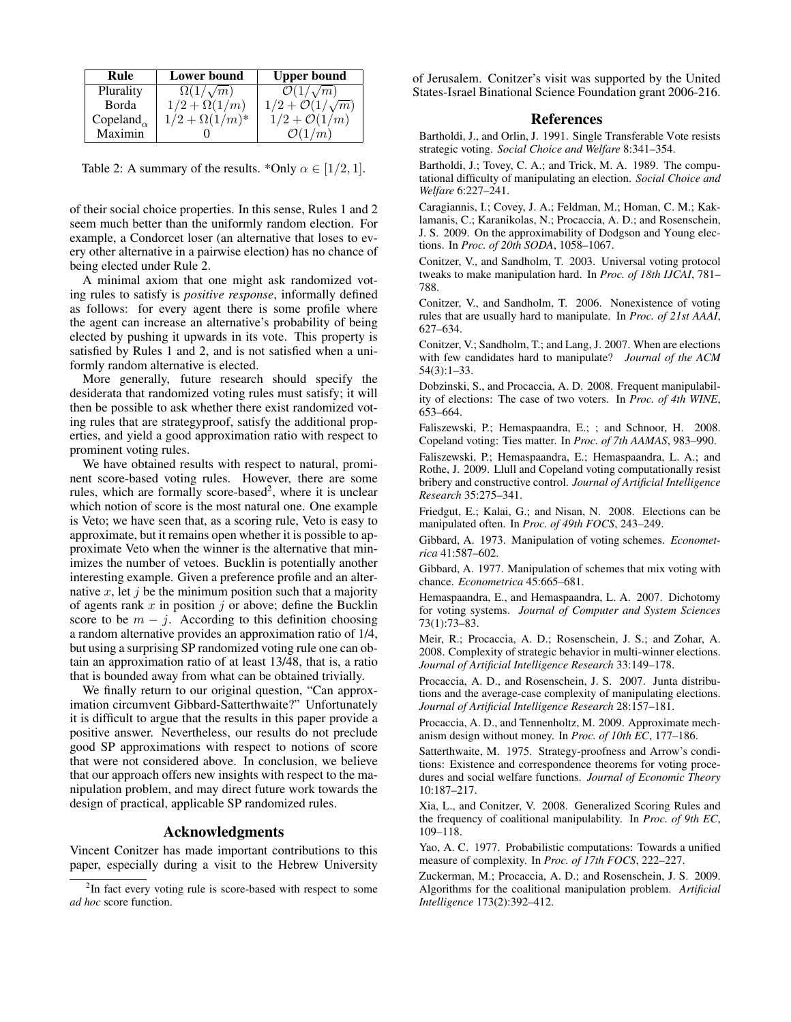| Rule                                    | <b>Lower bound</b>      | <b>Upper bound</b>              |
|-----------------------------------------|-------------------------|---------------------------------|
| Plurality                               | $\Omega(1/\sqrt{m})$    | $\mathcal{O}(1/\sqrt{m})$       |
| Borda                                   | $1/2 + \Omega(1/m)$     | $1/2 + \mathcal{O}(1/\sqrt{m})$ |
| Copeland <sub><math>\alpha</math></sub> | $1/2 + \Omega(1/m)^{*}$ | $1/2 + \mathcal{O}(1/m)$        |
| Maximin                                 |                         | $\mathcal{O}(1/m)$              |

Table 2: A summary of the results. \*Only  $\alpha \in [1/2, 1]$ .

of their social choice properties. In this sense, Rules 1 and 2 seem much better than the uniformly random election. For example, a Condorcet loser (an alternative that loses to every other alternative in a pairwise election) has no chance of being elected under Rule 2.

A minimal axiom that one might ask randomized voting rules to satisfy is *positive response*, informally defined as follows: for every agent there is some profile where the agent can increase an alternative's probability of being elected by pushing it upwards in its vote. This property is satisfied by Rules 1 and 2, and is not satisfied when a uniformly random alternative is elected.

More generally, future research should specify the desiderata that randomized voting rules must satisfy; it will then be possible to ask whether there exist randomized voting rules that are strategyproof, satisfy the additional properties, and yield a good approximation ratio with respect to prominent voting rules.

We have obtained results with respect to natural, prominent score-based voting rules. However, there are some rules, which are formally score-based<sup>2</sup>, where it is unclear which notion of score is the most natural one. One example is Veto; we have seen that, as a scoring rule, Veto is easy to approximate, but it remains open whether it is possible to approximate Veto when the winner is the alternative that minimizes the number of vetoes. Bucklin is potentially another interesting example. Given a preference profile and an alternative x, let j be the minimum position such that a majority of agents rank x in position  $i$  or above; define the Bucklin score to be  $m - j$ . According to this definition choosing a random alternative provides an approximation ratio of 1/4, but using a surprising SP randomized voting rule one can obtain an approximation ratio of at least 13/48, that is, a ratio that is bounded away from what can be obtained trivially.

We finally return to our original question, "Can approximation circumvent Gibbard-Satterthwaite?" Unfortunately it is difficult to argue that the results in this paper provide a positive answer. Nevertheless, our results do not preclude good SP approximations with respect to notions of score that were not considered above. In conclusion, we believe that our approach offers new insights with respect to the manipulation problem, and may direct future work towards the design of practical, applicable SP randomized rules.

### Acknowledgments

Vincent Conitzer has made important contributions to this paper, especially during a visit to the Hebrew University of Jerusalem. Conitzer's visit was supported by the United States-Israel Binational Science Foundation grant 2006-216.

#### References

Bartholdi, J., and Orlin, J. 1991. Single Transferable Vote resists strategic voting. *Social Choice and Welfare* 8:341–354.

Bartholdi, J.; Tovey, C. A.; and Trick, M. A. 1989. The computational difficulty of manipulating an election. *Social Choice and Welfare* 6:227–241.

Caragiannis, I.; Covey, J. A.; Feldman, M.; Homan, C. M.; Kaklamanis, C.; Karanikolas, N.; Procaccia, A. D.; and Rosenschein, J. S. 2009. On the approximability of Dodgson and Young elections. In *Proc. of 20th SODA*, 1058–1067.

Conitzer, V., and Sandholm, T. 2003. Universal voting protocol tweaks to make manipulation hard. In *Proc. of 18th IJCAI*, 781– 788.

Conitzer, V., and Sandholm, T. 2006. Nonexistence of voting rules that are usually hard to manipulate. In *Proc. of 21st AAAI*, 627–634.

Conitzer, V.; Sandholm, T.; and Lang, J. 2007. When are elections with few candidates hard to manipulate? *Journal of the ACM* 54(3):1–33.

Dobzinski, S., and Procaccia, A. D. 2008. Frequent manipulability of elections: The case of two voters. In *Proc. of 4th WINE*, 653–664.

Faliszewski, P.; Hemaspaandra, E.; ; and Schnoor, H. 2008. Copeland voting: Ties matter. In *Proc. of 7th AAMAS*, 983–990.

Faliszewski, P.; Hemaspaandra, E.; Hemaspaandra, L. A.; and Rothe, J. 2009. Llull and Copeland voting computationally resist bribery and constructive control. *Journal of Artificial Intelligence Research* 35:275–341.

Friedgut, E.; Kalai, G.; and Nisan, N. 2008. Elections can be manipulated often. In *Proc. of 49th FOCS*, 243–249.

Gibbard, A. 1973. Manipulation of voting schemes. *Econometrica* 41:587–602.

Gibbard, A. 1977. Manipulation of schemes that mix voting with chance. *Econometrica* 45:665–681.

Hemaspaandra, E., and Hemaspaandra, L. A. 2007. Dichotomy for voting systems. *Journal of Computer and System Sciences* 73(1):73–83.

Meir, R.; Procaccia, A. D.; Rosenschein, J. S.; and Zohar, A. 2008. Complexity of strategic behavior in multi-winner elections. *Journal of Artificial Intelligence Research* 33:149–178.

Procaccia, A. D., and Rosenschein, J. S. 2007. Junta distributions and the average-case complexity of manipulating elections. *Journal of Artificial Intelligence Research* 28:157–181.

Procaccia, A. D., and Tennenholtz, M. 2009. Approximate mechanism design without money. In *Proc. of 10th EC*, 177–186.

Satterthwaite, M. 1975. Strategy-proofness and Arrow's conditions: Existence and correspondence theorems for voting procedures and social welfare functions. *Journal of Economic Theory* 10:187–217.

Xia, L., and Conitzer, V. 2008. Generalized Scoring Rules and the frequency of coalitional manipulability. In *Proc. of 9th EC*, 109–118.

Yao, A. C. 1977. Probabilistic computations: Towards a unified measure of complexity. In *Proc. of 17th FOCS*, 222–227.

Zuckerman, M.; Procaccia, A. D.; and Rosenschein, J. S. 2009. Algorithms for the coalitional manipulation problem. *Artificial Intelligence* 173(2):392–412.

<sup>&</sup>lt;sup>2</sup>In fact every voting rule is score-based with respect to some *ad hoc* score function.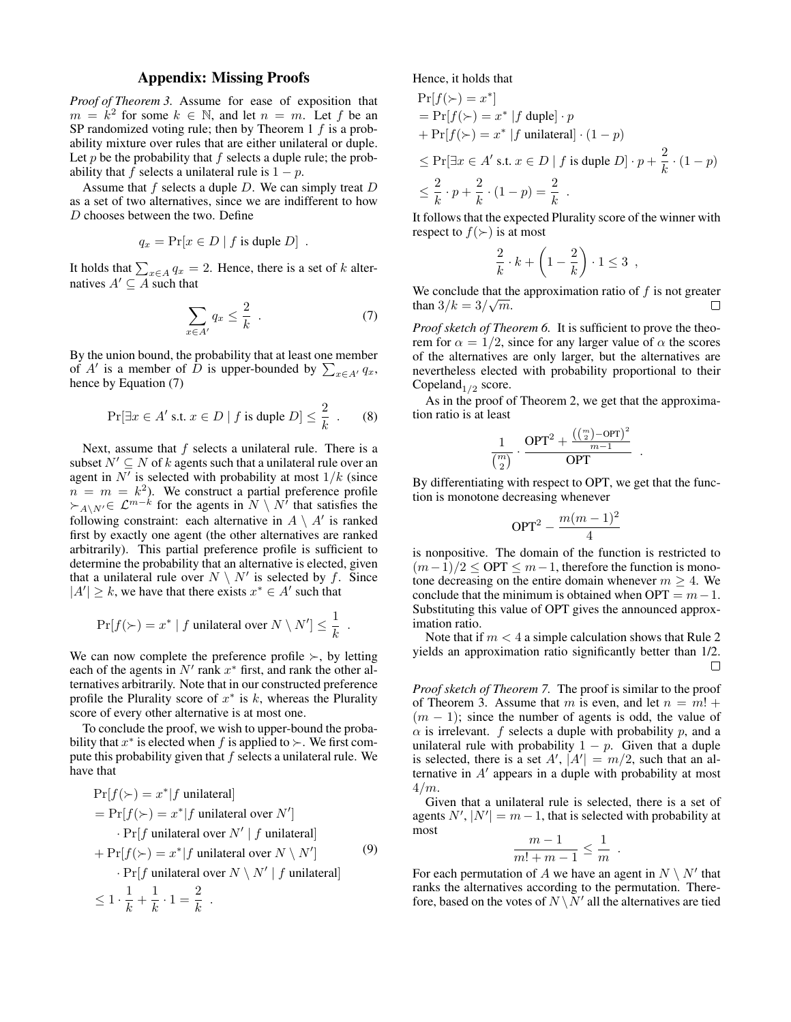## Appendix: Missing Proofs

*Proof of Theorem 3.* Assume for ease of exposition that  $m = \kappa^2$  for some  $k \in \mathbb{N}$ , and let  $n = m$ . Let f be an SP randomized voting rule; then by Theorem 1  $f$  is a probability mixture over rules that are either unilateral or duple. Let  $p$  be the probability that  $f$  selects a duple rule; the probability that f selects a unilateral rule is  $1 - p$ .

Assume that f selects a duple  $D$ . We can simply treat  $D$ as a set of two alternatives, since we are indifferent to how D chooses between the two. Define

$$
q_x = \Pr[x \in D \mid f \text{ is tuple } D].
$$

It holds that  $\sum_{x \in A} q_x = 2$ . Hence, there is a set of k alternatives  $A' \subseteq A$  such that

$$
\sum_{x \in A'} q_x \le \frac{2}{k} \quad . \tag{7}
$$

By the union bound, the probability that at least one member of A' is a member of D is upper-bounded by  $\sum_{x \in A} q_x$ , hence by Equation (7)

$$
\Pr[\exists x \in A' \text{ s.t. } x \in D \mid f \text{ is tuple } D] \le \frac{2}{k} \quad . \tag{8}
$$

Next, assume that f selects a unilateral rule. There is a subset  $N' \subseteq N$  of k agents such that a unilateral rule over an agent in  $N'$  is selected with probability at most  $1/k$  (since  $n = m = k<sup>2</sup>$ ). We construct a partial preference profile  $\succ_{A\setminus N'}\in \mathcal{L}^{m-k}$  for the agents in  $N\setminus N^{\gamma}$  that satisfies the following constraint: each alternative in  $A \setminus A'$  is ranked first by exactly one agent (the other alternatives are ranked arbitrarily). This partial preference profile is sufficient to determine the probability that an alternative is elected, given that a unilateral rule over  $N \setminus N'$  is selected by f. Since  $|A'| \geq k$ , we have that there exists  $x^* \in A'$  such that

$$
\Pr[f(\succ)=x^* \mid f \text{ unilateral over } N \setminus N'] \leq \frac{1}{k}.
$$

We can now complete the preference profile  $\succ$ , by letting each of the agents in  $N'$  rank  $x^*$  first, and rank the other alternatives arbitrarily. Note that in our constructed preference profile the Plurality score of  $x^*$  is  $k$ , whereas the Plurality score of every other alternative is at most one.

To conclude the proof, we wish to upper-bound the probability that  $x^*$  is elected when f is applied to  $\succ$ . We first compute this probability given that  $f$  selects a unilateral rule. We have that

$$
\Pr[f(\succ) = x^* | f \text{ unilateral}]
$$
\n
$$
= \Pr[f(\succ) = x^* | f \text{ unilateral over } N']
$$
\n
$$
\cdot \Pr[f \text{ unilateral over } N' | f \text{ unilateral}]
$$
\n
$$
+ \Pr[f(\succ) = x^* | f \text{ unilateral over } N \setminus N']
$$
\n
$$
\cdot \Pr[f \text{ unilateral over } N \setminus N' | f \text{ unilateral}]
$$
\n
$$
\leq 1 \cdot \frac{1}{k} + \frac{1}{k} \cdot 1 = \frac{2}{k}.
$$
\n(9)

Hence, it holds that

$$
\Pr[f(\succ) = x^*]
$$
  
=  $\Pr[f(\succ) = x^* | f \text{ tuple}] \cdot p$   
+  $\Pr[f(\succ) = x^* | f \text{ unilateral}] \cdot (1 - p)$   
 $\leq \Pr[\exists x \in A' \text{ s.t. } x \in D | f \text{ is tuple } D] \cdot p + \frac{2}{k} \cdot (1 - p)$   
 $\leq \frac{2}{k} \cdot p + \frac{2}{k} \cdot (1 - p) = \frac{2}{k}$ .

It follows that the expected Plurality score of the winner with respect to  $f(\succ)$  is at most

$$
\frac{2}{k} \cdot k + \left(1 - \frac{2}{k}\right) \cdot 1 \le 3 ,
$$

We conclude that the approximation ratio of f is not greater than  $3/k = 3/\sqrt{m}$ . П

*Proof sketch of Theorem 6.* It is sufficient to prove the theorem for  $\alpha = 1/2$ , since for any larger value of  $\alpha$  the scores of the alternatives are only larger, but the alternatives are nevertheless elected with probability proportional to their Copeland $_{1/2}$  score.

As in the proof of Theorem 2, we get that the approximation ratio is at least

$$
\frac{1}{{m \choose 2}} \cdot \frac{\mathsf{OPT}^2 + \frac{\left(\binom{m}{2} - \mathsf{OPT}\right)^2}{m-1}}{\mathsf{OPT}}
$$

.

By differentiating with respect to OPT, we get that the function is monotone decreasing whenever

$$
\mathrm{OPT}^2 - \frac{m(m-1)^2}{4}
$$

is nonpositive. The domain of the function is restricted to  $(m-1)/2 \leq \text{OPT} \leq m-1$ , therefore the function is monotone decreasing on the entire domain whenever  $m \geq 4$ . We conclude that the minimum is obtained when  $OPT = m - 1$ . Substituting this value of OPT gives the announced approximation ratio.

Note that if  $m < 4$  a simple calculation shows that Rule 2 yields an approximation ratio significantly better than 1/2.  $\Box$ 

*Proof sketch of Theorem 7.* The proof is similar to the proof of Theorem 3. Assume that m is even, and let  $n = m!$  +  $(m - 1)$ ; since the number of agents is odd, the value of  $\alpha$  is irrelevant. f selects a duple with probability p, and a unilateral rule with probability  $1 - p$ . Given that a duple is selected, there is a set  $A'$ ,  $|A'| = m/2$ , such that an alternative in  $A'$  appears in a duple with probability at most  $4/m$ .

Given that a unilateral rule is selected, there is a set of agents  $N', |N'| = m - 1$ , that is selected with probability at most

$$
\frac{m-1}{m!+m-1} \leq \frac{1}{m} .
$$

For each permutation of A we have an agent in  $N \setminus N'$  that ranks the alternatives according to the permutation. Therefore, based on the votes of  $N\setminus N'$  all the alternatives are tied